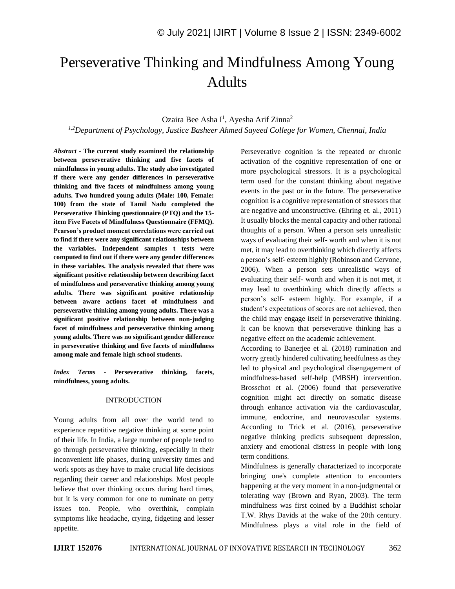# Perseverative Thinking and Mindfulness Among Young Adults

## Ozaira Bee Asha I<sup>1</sup>, Ayesha Arif Zinna<sup>2</sup>

*1,2Department of Psychology, Justice Basheer Ahmed Sayeed College for Women, Chennai, India*

*Abstract -* **The current study examined the relationship between perseverative thinking and five facets of mindfulness in young adults. The study also investigated if there were any gender differences in perseverative thinking and five facets of mindfulness among young adults. Two hundred young adults (Male: 100, Female: 100) from the state of Tamil Nadu completed the Perseverative Thinking questionnaire (PTQ) and the 15 item Five Facets of Mindfulness Questionnaire (FFMQ). Pearson's product moment correlations were carried out to find if there were any significant relationships between the variables. Independent samples t tests were computed to find out if there were any gender differences in these variables. The analysis revealed that there was significant positive relationship between describing facet of mindfulness and perseverative thinking among young adults. There was significant positive relationship between aware actions facet of mindfulness and perseverative thinking among young adults. There was a significant positive relationship between non-judging facet of mindfulness and perseverative thinking among young adults. There was no significant gender difference in perseverative thinking and five facets of mindfulness among male and female high school students.**

*Index Terms -* **Perseverative thinking, facets, mindfulness, young adults.**

#### INTRODUCTION

Young adults from all over the world tend to experience repetitive negative thinking at some point of their life. In India, a large number of people tend to go through perseverative thinking, especially in their inconvenient life phases, during university times and work spots as they have to make crucial life decisions regarding their career and relationships. Most people believe that over thinking occurs during hard times, but it is very common for one to ruminate on petty issues too. People, who overthink, complain symptoms like headache, crying, fidgeting and lesser appetite.

Perseverative cognition is the repeated or chronic activation of the cognitive representation of one or more psychological stressors. It is a psychological term used for the constant thinking about negative events in the past or in the future. The perseverative cognition is a cognitive representation of stressors that are negative and unconstructive. (Ehring et. al., 2011) It usually blocks the mental capacity and other rational thoughts of a person. When a person sets unrealistic ways of evaluating their self- worth and when it is not met, it may lead to overthinking which directly affects a person's self- esteem highly (Robinson and Cervone, 2006). When a person sets unrealistic ways of evaluating their self- worth and when it is not met, it may lead to overthinking which directly affects a person's self- esteem highly. For example, if a student's expectations of scores are not achieved, then the child may engage itself in perseverative thinking. It can be known that perseverative thinking has a negative effect on the academic achievement.

According to Banerjee et al. (2018) rumination and worry greatly hindered cultivating heedfulness as they led to physical and psychological disengagement of mindfulness-based self-help (MBSH) intervention. Brosschot et al. (2006) found that perseverative cognition might act directly on somatic disease through enhance activation via the cardiovascular, immune, endocrine, and neurovascular systems. According to Trick et al. (2016), perseverative negative thinking predicts subsequent depression, anxiety and emotional distress in people with long term conditions.

Mindfulness is generally characterized to incorporate bringing one's complete attention to encounters happening at the very moment in a non-judgmental or tolerating way (Brown and Ryan, 2003). The term mindfulness was first coined by a Buddhist scholar T.W. Rhys Davids at the wake of the 20th century. Mindfulness plays a vital role in the field of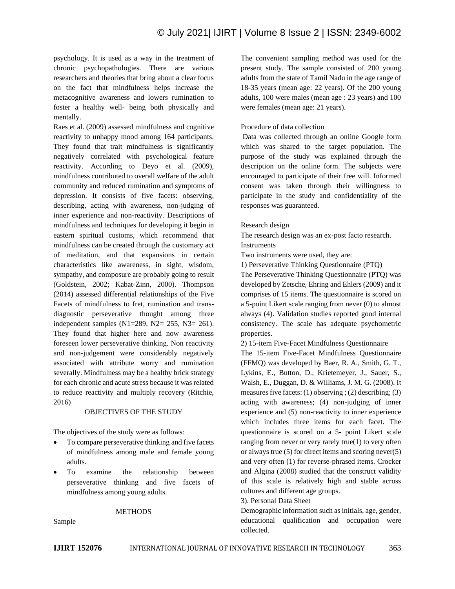psychology. It is used as a way in the treatment of chronic psychopathologies. There are various researchers and theories that bring about a clear focus on the fact that mindfulness helps increase the metacognitive awareness and lowers rumination to foster a healthy well- being both physically and mentally.

Raes et al. (2009) assessed mindfulness and cognitive reactivity to unhappy mood among 164 participants. They found that trait mindfulness is significantly negatively correlated with psychological feature reactivity. According to Deyo et al. (2009), mindfulness contributed to overall welfare of the adult community and reduced rumination and symptoms of depression. It consists of five facets: observing, describing, acting with awareness, non-judging of inner experience and non-reactivity. Descriptions of mindfulness and techniques for developing it begin in eastern spiritual customs, which recommend that mindfulness can be created through the customary act of meditation, and that expansions in certain characteristics like awareness, in sight, wisdom, sympathy, and composure are probably going to result (Goldstein, 2002; Kabat-Zinn, 2000). Thompson (2014) assessed differential relationships of the Five Facets of mindfulness to fret, rumination and transdiagnostic perseverative thought among three independent samples (N1=289, N2= 255, N3= 261). They found that higher here and now awareness foreseen lower perseverative thinking. Non reactivity and non-judgement were considerably negatively associated with attribute worry and rumination severally. Mindfulness may be a healthy brick strategy for each chronic and acute stress because it was related to reduce reactivity and multiply recovery (Ritchie, 2016)

### OBJECTIVES OF THE STUDY

The objectives of the study were as follows:

- To compare perseverative thinking and five facets of mindfulness among male and female young adults.
- To examine the relationship between perseverative thinking and five facets of mindfulness among young adults.

#### **METHODS**

Sample

The convenient sampling method was used for the present study. The sample consisted of 200 young adults from the state of Tamil Nadu in the age range of 18-35 years (mean age: 22 years). Of the 200 young adults, 100 were males (mean age : 23 years) and 100 were females (mean age: 21 years).

#### Procedure of data collection

Data was collected through an online Google form which was shared to the target population. The purpose of the study was explained through the description on the online form. The subjects were encouraged to participate of their free will. Informed consent was taken through their willingness to participate in the study and confidentiality of the responses was guaranteed.

#### Research design

The research design was an ex-post facto research.

Instruments

Two instruments were used, they are:

1) Perseverative Thinking Questionnaire (PTQ)

The Perseverative Thinking Questionnaire (PTQ) was developed by Zetsche, Ehring and Ehlers (2009) and it comprises of 15 items. The questionnaire is scored on a 5-point Likert scale ranging from never (0) to almost always (4). Validation studies reported good internal consistency. The scale has adequate psychometric properties.

2) 15-item Five-Facet Mindfulness Questionnaire

The 15-item Five-Facet Mindfulness Questionnaire (FFMQ) was developed by Baer, R. A., Smith, G. T., Lykins, E., Button, D., Krietemeyer, J., Sauer, S., Walsh, E., Duggan, D. & Williams, J. M. G. (2008). It measures five facets: (1) observing ; (2) describing; (3) acting with awareness; (4) non-judging of inner experience and (5) non-reactivity to inner experience which includes three items for each facet. The questionnaire is scored on a 5- point Likert scale ranging from never or very rarely true(1) to very often or always true (5) for direct items and scoring never(5) and very often (1) for reverse-phrased items. Crocker and Algina (2008) studied that the construct validity of this scale is relatively high and stable across cultures and different age groups.

#### 3). Personal Data Sheet

Demographic information such as initials, age, gender, educational qualification and occupation were collected.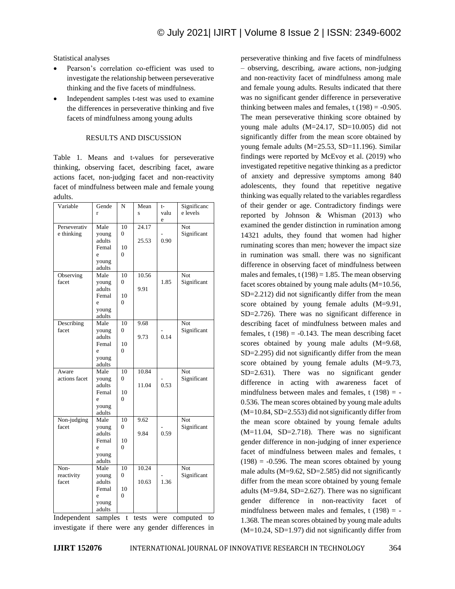Statistical analyses

- Pearson's correlation co-efficient was used to investigate the relationship between perseverative thinking and the five facets of mindfulness.
- Independent samples t-test was used to examine the differences in perseverative thinking and five facets of mindfulness among young adults

### RESULTS AND DISCUSSION

Table 1. Means and t-values for perseverative thinking, observing facet, describing facet, aware actions facet, non-judging facet and non-reactivity facet of mindfulness between male and female young adults.

| Variable                                        | Gende           | N              | Mean  | $t-$ | Significanc |
|-------------------------------------------------|-----------------|----------------|-------|------|-------------|
|                                                 | r               |                | Ś     | valu | e levels    |
|                                                 |                 |                |       | e    |             |
| Perseverativ                                    | Male            | 10             | 24.17 |      | Not         |
| e thinking                                      | young           | $\theta$       |       |      | Significant |
|                                                 | adults          |                | 25.53 | 0.90 |             |
|                                                 | Femal           | 10             |       |      |             |
|                                                 | e               | $\Omega$       |       |      |             |
|                                                 | young           |                |       |      |             |
|                                                 | adults          |                |       |      |             |
| Observing                                       | Male            | 10             | 10.56 |      | Not.        |
| facet                                           | young           | $\theta$       |       | 1.85 | Significant |
|                                                 | adults          |                | 9.91  |      |             |
|                                                 | Femal           | 10             |       |      |             |
|                                                 | e               | $\overline{0}$ |       |      |             |
|                                                 | young           |                |       |      |             |
|                                                 | adults          |                |       |      |             |
| Describing                                      | Male            | 10             | 9.68  |      | Not         |
| facet                                           | young           | $\theta$       |       |      | Significant |
|                                                 | adults          |                | 9.73  | 0.14 |             |
|                                                 | Femal           | 10             |       |      |             |
|                                                 | e               | $\theta$       |       |      |             |
|                                                 | young           |                |       |      |             |
|                                                 | adults          |                |       |      |             |
| Aware                                           | Male            | 10             | 10.84 |      | Not         |
| actions facet                                   | young           | $\overline{0}$ |       |      | Significant |
|                                                 | adults          |                | 11.04 | 0.53 |             |
|                                                 | Femal           | 10             |       |      |             |
|                                                 | e               | 0              |       |      |             |
|                                                 | young           |                |       |      |             |
| Non-judging                                     | adults<br>Male  | 10             | 9.62  |      | Not         |
| facet                                           |                 | $\theta$       |       |      |             |
|                                                 | young<br>adults |                | 9.84  | 0.59 | Significant |
|                                                 | Femal           | 10             |       |      |             |
|                                                 | e               | $\theta$       |       |      |             |
|                                                 | young           |                |       |      |             |
|                                                 | adults          |                |       |      |             |
| Non-                                            | Male            | 10             | 10.24 |      | Not         |
| reactivity                                      | young           | $\theta$       |       |      | Significant |
| facet                                           | adults          |                | 10.63 | 1.36 |             |
|                                                 | Femal           | 10             |       |      |             |
|                                                 | e               | $\theta$       |       |      |             |
|                                                 | young           |                |       |      |             |
|                                                 | adults          |                |       |      |             |
| Indenendent<br>camples t tests were computed to |                 |                |       |      |             |

Independent samples t tests were computed to investigate if there were any gender differences in perseverative thinking and five facets of mindfulness – observing, describing, aware actions, non-judging and non-reactivity facet of mindfulness among male and female young adults. Results indicated that there was no significant gender difference in perseverative thinking between males and females,  $t(198) = -0.905$ . The mean perseverative thinking score obtained by young male adults (M=24.17, SD=10.005) did not significantly differ from the mean score obtained by young female adults (M=25.53, SD=11.196). Similar findings were reported by McEvoy et al. (2019) who investigated repetitive negative thinking as a predictor of anxiety and depressive symptoms among 840 adolescents, they found that repetitive negative thinking was equally related to the variables regardless of their gender or age. Contradictory findings were reported by Johnson & Whisman (2013) who examined the gender distinction in rumination among 14321 adults, they found that women had higher ruminating scores than men; however the impact size in rumination was small. there was no significant difference in observing facet of mindfulness between males and females,  $t(198) = 1.85$ . The mean observing facet scores obtained by young male adults (M=10.56, SD=2.212) did not significantly differ from the mean score obtained by young female adults (M=9.91, SD=2.726). There was no significant difference in describing facet of mindfulness between males and females, t  $(198) = -0.143$ . The mean describing facet scores obtained by young male adults (M=9.68, SD=2.295) did not significantly differ from the mean score obtained by young female adults (M=9.73, SD=2.631). There was no significant gender difference in acting with awareness facet of mindfulness between males and females,  $t(198) = -$ 0.536. The mean scores obtained by young male adults (M=10.84, SD=2.553) did not significantly differ from the mean score obtained by young female adults (M=11.04, SD=2.718). There was no significant gender difference in non-judging of inner experience facet of mindfulness between males and females, t  $(198) = -0.596$ . The mean scores obtained by young male adults  $(M=9.62, SD=2.585)$  did not significantly differ from the mean score obtained by young female adults (M=9.84, SD=2.627). There was no significant gender difference in non-reactivity facet of mindfulness between males and females,  $t(198) = -$ 1.368. The mean scores obtained by young male adults  $(M=10.24, SD=1.97)$  did not significantly differ from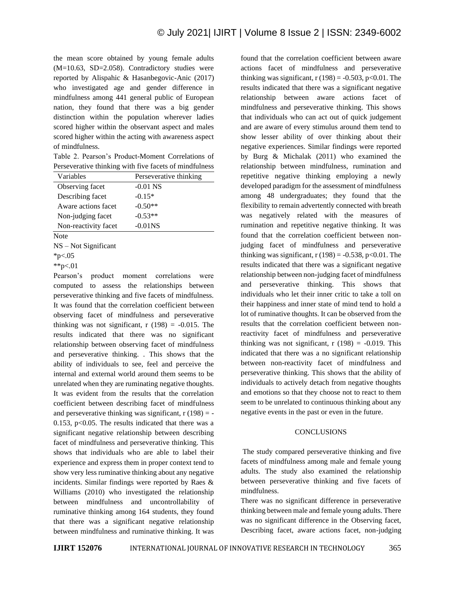the mean score obtained by young female adults (M=10.63, SD=2.058). Contradictory studies were reported by Alispahic & Hasanbegovic-Anic (2017) who investigated age and gender difference in mindfulness among 441 general public of European nation, they found that there was a big gender distinction within the population wherever ladies scored higher within the observant aspect and males scored higher within the acting with awareness aspect of mindfulness.

Table 2. Pearson's Product-Moment Correlations of Perseverative thinking with five facets of mindfulness

| Variables            | Perseverative thinking |
|----------------------|------------------------|
| Observing facet      | $-0.01$ NS             |
| Describing facet     | $-0.15*$               |
| Aware actions facet  | $-0.50**$              |
| Non-judging facet    | $-0.53**$              |
| Non-reactivity facet | $-0.01$ <sub>NS</sub>  |
| Note                 |                        |

NS – Not Significant

\*\*p<.01

Pearson's product moment correlations were computed to assess the relationships between perseverative thinking and five facets of mindfulness. It was found that the correlation coefficient between observing facet of mindfulness and perseverative thinking was not significant,  $r(198) = -0.015$ . The results indicated that there was no significant relationship between observing facet of mindfulness and perseverative thinking. . This shows that the ability of individuals to see, feel and perceive the internal and external world around them seems to be unrelated when they are ruminating negative thoughts. It was evident from the results that the correlation coefficient between describing facet of mindfulness and perseverative thinking was significant,  $r(198) = -$ 0.153,  $p<0.05$ . The results indicated that there was a significant negative relationship between describing facet of mindfulness and perseverative thinking. This shows that individuals who are able to label their experience and express them in proper context tend to show very less ruminative thinking about any negative incidents. Similar findings were reported by Raes & Williams (2010) who investigated the relationship between mindfulness and uncontrollability of ruminative thinking among 164 students, they found that there was a significant negative relationship between mindfulness and ruminative thinking. It was

found that the correlation coefficient between aware actions facet of mindfulness and perseverative thinking was significant,  $r(198) = -0.503$ ,  $p<0.01$ . The results indicated that there was a significant negative relationship between aware actions facet of mindfulness and perseverative thinking. This shows that individuals who can act out of quick judgement and are aware of every stimulus around them tend to show lesser ability of over thinking about their negative experiences. Similar findings were reported by Burg & Michalak (2011) who examined the relationship between mindfulness, rumination and repetitive negative thinking employing a newly developed paradigm for the assessment of mindfulness among 48 undergraduates; they found that the flexibility to remain advertently connected with breath was negatively related with the measures of rumination and repetitive negative thinking. It was found that the correlation coefficient between nonjudging facet of mindfulness and perseverative thinking was significant,  $r(198) = -0.538$ ,  $p<0.01$ . The results indicated that there was a significant negative relationship between non-judging facet of mindfulness and perseverative thinking. This shows that individuals who let their inner critic to take a toll on their happiness and inner state of mind tend to hold a lot of ruminative thoughts. It can be observed from the results that the correlation coefficient between nonreactivity facet of mindfulness and perseverative thinking was not significant,  $r(198) = -0.019$ . This indicated that there was a no significant relationship between non-reactivity facet of mindfulness and perseverative thinking. This shows that the ability of individuals to actively detach from negative thoughts and emotions so that they choose not to react to them seem to be unrelated to continuous thinking about any negative events in the past or even in the future.

#### **CONCLUSIONS**

The study compared perseverative thinking and five facets of mindfulness among male and female young adults. The study also examined the relationship between perseverative thinking and five facets of mindfulness.

There was no significant difference in perseverative thinking between male and female young adults. There was no significant difference in the Observing facet, Describing facet, aware actions facet, non-judging

<sup>\*</sup>p $< 0.05$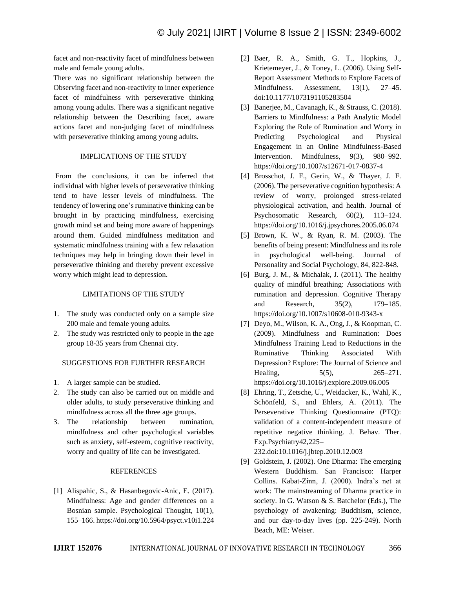facet and non-reactivity facet of mindfulness between male and female young adults.

There was no significant relationship between the Observing facet and non-reactivity to inner experience facet of mindfulness with perseverative thinking among young adults. There was a significant negative relationship between the Describing facet, aware actions facet and non-judging facet of mindfulness with perseverative thinking among young adults.

## IMPLICATIONS OF THE STUDY

From the conclusions, it can be inferred that individual with higher levels of perseverative thinking tend to have lesser levels of mindfulness. The tendency of lowering one's ruminative thinking can be brought in by practicing mindfulness, exercising growth mind set and being more aware of happenings around them. Guided mindfulness meditation and systematic mindfulness training with a few relaxation techniques may help in bringing down their level in perseverative thinking and thereby prevent excessive worry which might lead to depression.

## LIMITATIONS OF THE STUDY

- 1. The study was conducted only on a sample size 200 male and female young adults.
- 2. The study was restricted only to people in the age group 18-35 years from Chennai city.

#### SUGGESTIONS FOR FURTHER RESEARCH

- 1. A larger sample can be studied.
- 2. The study can also be carried out on middle and older adults, to study perseverative thinking and mindfulness across all the three age groups.
- 3. The relationship between rumination, mindfulness and other psychological variables such as anxiety, self-esteem, cognitive reactivity, worry and quality of life can be investigated.

#### REFERENCES

[1] Alispahic, S., & Hasanbegovic-Anic, E. (2017). Mindfulness: Age and gender differences on a Bosnian sample. Psychological Thought, 10(1), 155–166. https://doi.org/10.5964/psyct.v10i1.224

- [2] Baer, R. A., Smith, G. T., Hopkins, J., Krietemeyer, J., & Toney, L. (2006). Using Self-Report Assessment Methods to Explore Facets of Mindfulness. Assessment, 13(1), 27–45. doi:10.1177/1073191105283504
- [3] Banerjee, M., Cavanagh, K., & Strauss, C. (2018). Barriers to Mindfulness: a Path Analytic Model Exploring the Role of Rumination and Worry in Predicting Psychological and Physical Engagement in an Online Mindfulness-Based Intervention. Mindfulness, 9(3), 980–992. https://doi.org/10.1007/s12671-017-0837-4
- [4] Brosschot, J. F., Gerin, W., & Thayer, J. F. (2006). The perseverative cognition hypothesis: A review of worry, prolonged stress-related physiological activation, and health. Journal of Psychosomatic Research, 60(2), 113–124. https://doi.org/10.1016/j.jpsychores.2005.06.074
- [5] Brown, K. W., & Ryan, R. M. (2003). The benefits of being present: Mindfulness and its role in psychological well-being. Journal of Personality and Social Psychology, 84, 822-848.
- [6] Burg, J. M., & Michalak, J. (2011). The healthy quality of mindful breathing: Associations with rumination and depression. Cognitive Therapy and Research, 35(2), 179–185. https://doi.org/10.1007/s10608-010-9343-x
- [7] Deyo, M., Wilson, K. A., Ong, J., & Koopman, C. (2009). Mindfulness and Rumination: Does Mindfulness Training Lead to Reductions in the Ruminative Thinking Associated With Depression? Explore: The Journal of Science and Healing, 5(5), 265–271. https://doi.org/10.1016/j.explore.2009.06.005
- [8] Ehring, T., Zetsche, U., Weidacker, K., Wahl, K., Schönfeld, S., and Ehlers, A. (2011). The Perseverative Thinking Questionnaire (PTQ): validation of a content-independent measure of repetitive negative thinking. J. Behav. Ther. Exp.Psychiatry42,225–

232.doi:10.1016/j.jbtep.2010.12.003

[9] Goldstein, J. (2002). One Dharma: The emerging Western Buddhism. San Francisco: Harper Collins. Kabat-Zinn, J. (2000). Indra's net at work: The mainstreaming of Dharma practice in society. In G. Watson & S. Batchelor (Eds.), The psychology of awakening: Buddhism, science, and our day-to-day lives (pp. 225-249). North Beach, ME: Weiser.